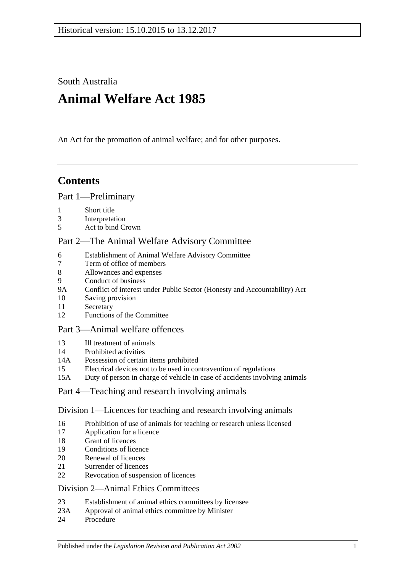South Australia

# **Animal Welfare Act 1985**

An Act for the promotion of animal welfare; and for other purposes.

## **Contents**

## [Part 1—Preliminary](#page-1-0)

- 1 [Short title](#page-1-1)
- 3 [Interpretation](#page-2-0)
- 5 [Act to bind Crown](#page-3-0)

## [Part 2—The Animal Welfare Advisory Committee](#page-3-1)

- 6 [Establishment of Animal Welfare Advisory Committee](#page-3-2)
- 7 [Term of office of members](#page-4-0)<br>8 Allowances and expenses
- 8 [Allowances and expenses](#page-4-1)
- 9 [Conduct of business](#page-5-0)
- 9A [Conflict of interest under Public Sector \(Honesty and Accountability\) Act](#page-5-1)
- 10 [Saving provision](#page-5-2)
- 11 [Secretary](#page-5-3)
- 12 [Functions of the Committee](#page-5-4)

## [Part 3—Animal welfare offences](#page-6-0)

- 13 [Ill treatment of animals](#page-6-1)
- 14 [Prohibited activities](#page-7-0)
- 14A [Possession of certain items prohibited](#page-8-0)
- 15 [Electrical devices not to be used in contravention of regulations](#page-9-0)
- 15A [Duty of person in charge of vehicle in case of accidents involving animals](#page-9-1)

## [Part 4—Teaching and research involving animals](#page-9-2)

## [Division 1—Licences for teaching and research involving animals](#page-9-3)

- 16 [Prohibition of use of animals for teaching or research unless licensed](#page-9-4)
- 17 [Application for a licence](#page-9-5)
- 18 [Grant of licences](#page-10-0)
- 19 [Conditions of licence](#page-10-1)
- 20 [Renewal of licences](#page-11-0)
- 21 [Surrender of licences](#page-11-1)
- 22 [Revocation of suspension of licences](#page-11-2)

## [Division 2—Animal Ethics Committees](#page-11-3)

- 23 [Establishment of animal ethics committees by licensee](#page-11-4)
- 23A [Approval of animal ethics committee by Minister](#page-12-0)
- 24 [Procedure](#page-12-1)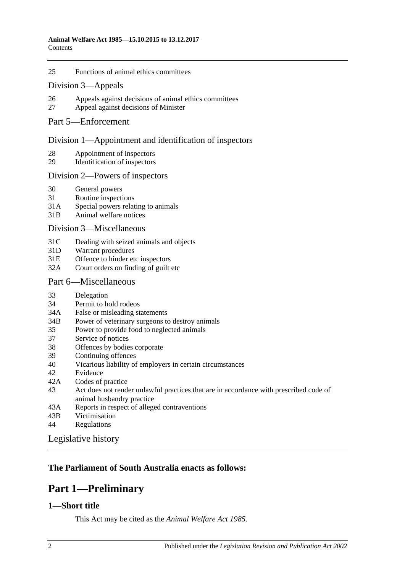25 [Functions of animal ethics committees](#page-13-0)

### [Division 3—Appeals](#page-13-1)

- 26 [Appeals against decisions of animal ethics committees](#page-13-2)
- 27 [Appeal against decisions of Minister](#page-14-0)

### [Part 5—Enforcement](#page-14-1)

### [Division 1—Appointment and identification of inspectors](#page-14-2)

- 28 [Appointment of inspectors](#page-14-3)
- 29 [Identification of inspectors](#page-15-0)

### [Division 2—Powers of inspectors](#page-15-1)

- 30 [General powers](#page-15-2)
- 31 [Routine inspections](#page-17-0)
- 31A [Special powers relating to animals](#page-17-1)
- 31B [Animal welfare notices](#page-18-0)

### [Division 3—Miscellaneous](#page-18-1)

- 31C [Dealing with seized animals and objects](#page-18-2)
- 31D [Warrant procedures](#page-19-0)
- 31E [Offence to hinder etc inspectors](#page-20-0)
- 32A [Court orders on finding of guilt etc](#page-21-0)

### [Part 6—Miscellaneous](#page-21-1)

- 33 [Delegation](#page-21-2)
- 34 [Permit to hold rodeos](#page-21-3)
- 34A [False or misleading statements](#page-22-0)
- 34B [Power of veterinary surgeons to destroy animals](#page-22-1)
- 35 [Power to provide food to neglected animals](#page-22-2)
- 37 [Service of notices](#page-22-3)
- 38 [Offences by bodies corporate](#page-22-4)
- 39 [Continuing offences](#page-23-0)
- 40 [Vicarious liability of employers in certain circumstances](#page-23-1)
- 42 [Evidence](#page-24-0)
- 42A [Codes of practice](#page-24-1)
- 43 [Act does not render unlawful practices that are in accordance with prescribed code of](#page-24-2)  [animal husbandry practice](#page-24-2)
- 43A [Reports in respect of alleged contraventions](#page-24-3)
- 43B [Victimisation](#page-24-4)
- 44 [Regulations](#page-25-0)

[Legislative history](#page-27-0)

## <span id="page-1-0"></span>**The Parliament of South Australia enacts as follows:**

## **Part 1—Preliminary**

## <span id="page-1-1"></span>**1—Short title**

This Act may be cited as the *Animal Welfare Act 1985*.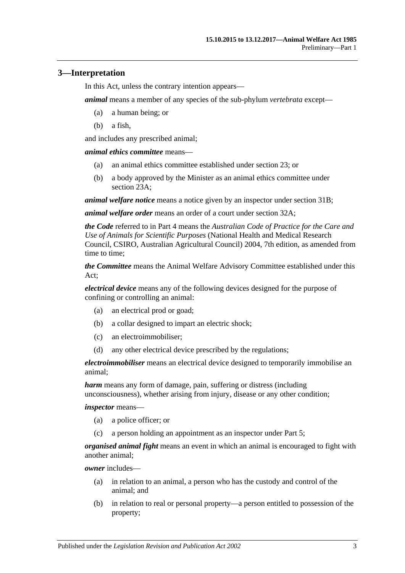## <span id="page-2-0"></span>**3—Interpretation**

In this Act, unless the contrary intention appears—

*animal* means a member of any species of the sub-phylum *vertebrata* except—

- (a) a human being; or
- (b) a fish,

and includes any prescribed animal;

*animal ethics committee* means—

- (a) an animal ethics committee established under [section](#page-11-4) 23; or
- (b) a body approved by the Minister as an animal ethics committee under [section](#page-12-0) 23A;

*animal welfare notice* means a notice given by an inspector under [section](#page-18-0) 31B;

*animal welfare order* means an order of a court under [section](#page-21-0) 32A;

*the Code* referred to in [Part 4](#page-9-2) means the *Australian Code of Practice for the Care and Use of Animals for Scientific Purposes* (National Health and Medical Research Council, CSIRO, Australian Agricultural Council) 2004, 7th edition, as amended from time to time;

*the Committee* means the Animal Welfare Advisory Committee established under this Act;

*electrical device* means any of the following devices designed for the purpose of confining or controlling an animal:

- (a) an electrical prod or goad;
- (b) a collar designed to impart an electric shock;
- (c) an electroimmobiliser;
- (d) any other electrical device prescribed by the regulations;

*electroimmobiliser* means an electrical device designed to temporarily immobilise an animal;

*harm* means any form of damage, pain, suffering or distress (including unconsciousness), whether arising from injury, disease or any other condition;

*inspector* means—

- (a) a police officer; or
- (c) a person holding an appointment as an inspector under [Part 5;](#page-14-1)

*organised animal fight* means an event in which an animal is encouraged to fight with another animal;

*owner* includes—

- (a) in relation to an animal, a person who has the custody and control of the animal; and
- (b) in relation to real or personal property—a person entitled to possession of the property;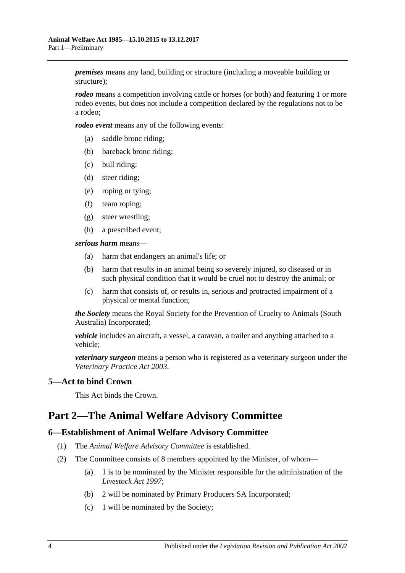*premises* means any land, building or structure (including a moveable building or structure);

*rodeo* means a competition involving cattle or horses (or both) and featuring 1 or more rodeo events, but does not include a competition declared by the regulations not to be a rodeo;

*rodeo event* means any of the following events:

- (a) saddle bronc riding;
- (b) bareback bronc riding;
- (c) bull riding;
- (d) steer riding;
- (e) roping or tying;
- (f) team roping;
- (g) steer wrestling;
- (h) a prescribed event;

*serious harm* means—

- (a) harm that endangers an animal's life; or
- (b) harm that results in an animal being so severely injured, so diseased or in such physical condition that it would be cruel not to destroy the animal; or
- (c) harm that consists of, or results in, serious and protracted impairment of a physical or mental function;

*the Society* means the Royal Society for the Prevention of Cruelty to Animals (South Australia) Incorporated;

*vehicle* includes an aircraft, a vessel, a caravan, a trailer and anything attached to a vehicle;

*veterinary surgeon* means a person who is registered as a veterinary surgeon under the *[Veterinary Practice Act](http://www.legislation.sa.gov.au/index.aspx?action=legref&type=act&legtitle=Veterinary%20Practice%20Act%202003) 2003*.

## <span id="page-3-0"></span>**5—Act to bind Crown**

This Act binds the Crown.

## <span id="page-3-1"></span>**Part 2—The Animal Welfare Advisory Committee**

### <span id="page-3-2"></span>**6—Establishment of Animal Welfare Advisory Committee**

- (1) The *Animal Welfare Advisory Committee* is established.
- (2) The Committee consists of 8 members appointed by the Minister, of whom—
	- (a) 1 is to be nominated by the Minister responsible for the administration of the *[Livestock Act](http://www.legislation.sa.gov.au/index.aspx?action=legref&type=act&legtitle=Livestock%20Act%201997) 1997*;
	- (b) 2 will be nominated by Primary Producers SA Incorporated;
	- (c) 1 will be nominated by the Society;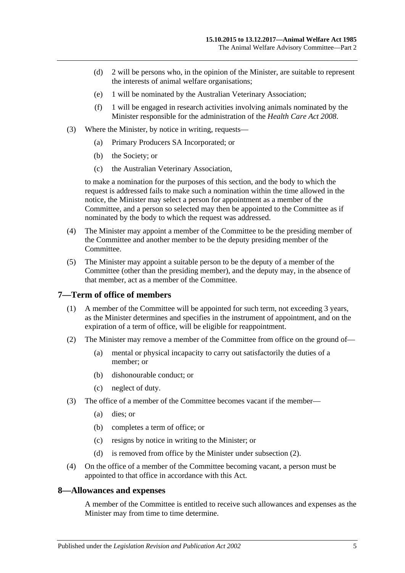- (d) 2 will be persons who, in the opinion of the Minister, are suitable to represent the interests of animal welfare organisations;
- (e) 1 will be nominated by the Australian Veterinary Association;
- (f) 1 will be engaged in research activities involving animals nominated by the Minister responsible for the administration of the *[Health Care Act](http://www.legislation.sa.gov.au/index.aspx?action=legref&type=act&legtitle=Health%20Care%20Act%202008) 2008*.
- (3) Where the Minister, by notice in writing, requests—
	- (a) Primary Producers SA Incorporated; or
	- (b) the Society; or
	- (c) the Australian Veterinary Association,

to make a nomination for the purposes of this section, and the body to which the request is addressed fails to make such a nomination within the time allowed in the notice, the Minister may select a person for appointment as a member of the Committee, and a person so selected may then be appointed to the Committee as if nominated by the body to which the request was addressed.

- (4) The Minister may appoint a member of the Committee to be the presiding member of the Committee and another member to be the deputy presiding member of the Committee.
- (5) The Minister may appoint a suitable person to be the deputy of a member of the Committee (other than the presiding member), and the deputy may, in the absence of that member, act as a member of the Committee.

### <span id="page-4-0"></span>**7—Term of office of members**

- (1) A member of the Committee will be appointed for such term, not exceeding 3 years, as the Minister determines and specifies in the instrument of appointment, and on the expiration of a term of office, will be eligible for reappointment.
- <span id="page-4-2"></span>(2) The Minister may remove a member of the Committee from office on the ground of—
	- (a) mental or physical incapacity to carry out satisfactorily the duties of a member; or
	- (b) dishonourable conduct; or
	- (c) neglect of duty.
- (3) The office of a member of the Committee becomes vacant if the member—
	- (a) dies; or
	- (b) completes a term of office; or
	- (c) resigns by notice in writing to the Minister; or
	- (d) is removed from office by the Minister under [subsection](#page-4-2) (2).
- (4) On the office of a member of the Committee becoming vacant, a person must be appointed to that office in accordance with this Act.

### <span id="page-4-1"></span>**8—Allowances and expenses**

A member of the Committee is entitled to receive such allowances and expenses as the Minister may from time to time determine.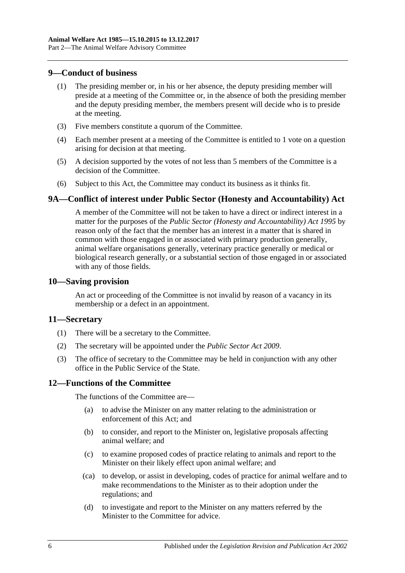### <span id="page-5-0"></span>**9—Conduct of business**

- (1) The presiding member or, in his or her absence, the deputy presiding member will preside at a meeting of the Committee or, in the absence of both the presiding member and the deputy presiding member, the members present will decide who is to preside at the meeting.
- (3) Five members constitute a quorum of the Committee.
- (4) Each member present at a meeting of the Committee is entitled to 1 vote on a question arising for decision at that meeting.
- (5) A decision supported by the votes of not less than 5 members of the Committee is a decision of the Committee.
- (6) Subject to this Act, the Committee may conduct its business as it thinks fit.

## <span id="page-5-1"></span>**9A—Conflict of interest under Public Sector (Honesty and Accountability) Act**

A member of the Committee will not be taken to have a direct or indirect interest in a matter for the purposes of the *[Public Sector \(Honesty and Accountability\) Act](http://www.legislation.sa.gov.au/index.aspx?action=legref&type=act&legtitle=Public%20Sector%20(Honesty%20and%20Accountability)%20Act%201995) 1995* by reason only of the fact that the member has an interest in a matter that is shared in common with those engaged in or associated with primary production generally, animal welfare organisations generally, veterinary practice generally or medical or biological research generally, or a substantial section of those engaged in or associated with any of those fields.

### <span id="page-5-2"></span>**10—Saving provision**

An act or proceeding of the Committee is not invalid by reason of a vacancy in its membership or a defect in an appointment.

### <span id="page-5-3"></span>**11—Secretary**

- (1) There will be a secretary to the Committee.
- (2) The secretary will be appointed under the *[Public Sector Act](http://www.legislation.sa.gov.au/index.aspx?action=legref&type=act&legtitle=Public%20Sector%20Act%202009) 2009*.
- (3) The office of secretary to the Committee may be held in conjunction with any other office in the Public Service of the State.

## <span id="page-5-4"></span>**12—Functions of the Committee**

The functions of the Committee are—

- (a) to advise the Minister on any matter relating to the administration or enforcement of this Act; and
- (b) to consider, and report to the Minister on, legislative proposals affecting animal welfare; and
- (c) to examine proposed codes of practice relating to animals and report to the Minister on their likely effect upon animal welfare; and
- (ca) to develop, or assist in developing, codes of practice for animal welfare and to make recommendations to the Minister as to their adoption under the regulations; and
- (d) to investigate and report to the Minister on any matters referred by the Minister to the Committee for advice.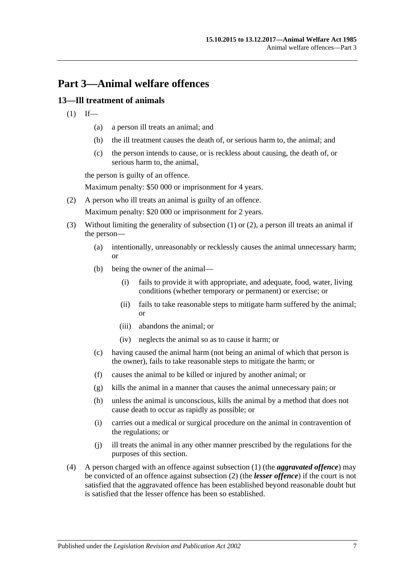## <span id="page-6-0"></span>**Part 3—Animal welfare offences**

## <span id="page-6-2"></span><span id="page-6-1"></span>**13—Ill treatment of animals**

- $(1)$  If—
	- (a) a person ill treats an animal; and
	- (b) the ill treatment causes the death of, or serious harm to, the animal; and
	- (c) the person intends to cause, or is reckless about causing, the death of, or serious harm to, the animal,

the person is guilty of an offence.

Maximum penalty: \$50 000 or imprisonment for 4 years.

<span id="page-6-3"></span>(2) A person who ill treats an animal is guilty of an offence.

Maximum penalty: \$20 000 or imprisonment for 2 years.

- (3) Without limiting the generality of [subsection](#page-6-2) (1) or [\(2\),](#page-6-3) a person ill treats an animal if the person—
	- (a) intentionally, unreasonably or recklessly causes the animal unnecessary harm; or
	- (b) being the owner of the animal—
		- (i) fails to provide it with appropriate, and adequate, food, water, living conditions (whether temporary or permanent) or exercise; or
		- (ii) fails to take reasonable steps to mitigate harm suffered by the animal; or
		- (iii) abandons the animal; or
		- (iv) neglects the animal so as to cause it harm; or
	- (c) having caused the animal harm (not being an animal of which that person is the owner), fails to take reasonable steps to mitigate the harm; or
	- (f) causes the animal to be killed or injured by another animal; or
	- (g) kills the animal in a manner that causes the animal unnecessary pain; or
	- (h) unless the animal is unconscious, kills the animal by a method that does not cause death to occur as rapidly as possible; or
	- (i) carries out a medical or surgical procedure on the animal in contravention of the regulations; or
	- (j) ill treats the animal in any other manner prescribed by the regulations for the purposes of this section.
- (4) A person charged with an offence against [subsection](#page-6-2) (1) (the *aggravated offence*) may be convicted of an offence against [subsection](#page-6-3) (2) (the *lesser offence*) if the court is not satisfied that the aggravated offence has been established beyond reasonable doubt but is satisfied that the lesser offence has been so established.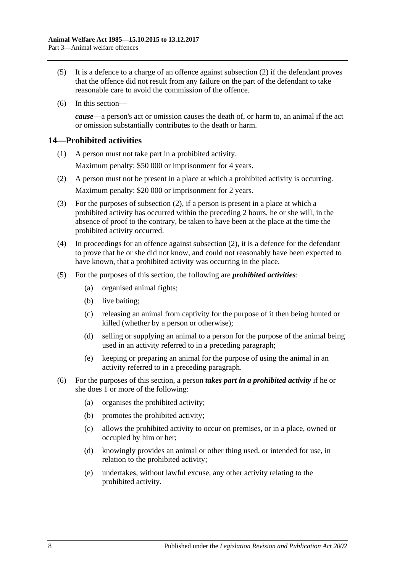- (5) It is a defence to a charge of an offence against [subsection](#page-6-3) (2) if the defendant proves that the offence did not result from any failure on the part of the defendant to take reasonable care to avoid the commission of the offence.
- (6) In this section—

*cause*—a person's act or omission causes the death of, or harm to, an animal if the act or omission substantially contributes to the death or harm.

## <span id="page-7-0"></span>**14—Prohibited activities**

- (1) A person must not take part in a prohibited activity. Maximum penalty: \$50 000 or imprisonment for 4 years.
- <span id="page-7-1"></span>(2) A person must not be present in a place at which a prohibited activity is occurring. Maximum penalty: \$20 000 or imprisonment for 2 years.
- (3) For the purposes of [subsection](#page-7-1) (2), if a person is present in a place at which a prohibited activity has occurred within the preceding 2 hours, he or she will, in the absence of proof to the contrary, be taken to have been at the place at the time the prohibited activity occurred.
- (4) In proceedings for an offence against [subsection](#page-7-1) (2), it is a defence for the defendant to prove that he or she did not know, and could not reasonably have been expected to have known, that a prohibited activity was occurring in the place.
- (5) For the purposes of this section, the following are *prohibited activities*:
	- (a) organised animal fights;
	- (b) live baiting;
	- (c) releasing an animal from captivity for the purpose of it then being hunted or killed (whether by a person or otherwise);
	- (d) selling or supplying an animal to a person for the purpose of the animal being used in an activity referred to in a preceding paragraph;
	- (e) keeping or preparing an animal for the purpose of using the animal in an activity referred to in a preceding paragraph.
- (6) For the purposes of this section, a person *takes part in a prohibited activity* if he or she does 1 or more of the following:
	- (a) organises the prohibited activity;
	- (b) promotes the prohibited activity;
	- (c) allows the prohibited activity to occur on premises, or in a place, owned or occupied by him or her;
	- (d) knowingly provides an animal or other thing used, or intended for use, in relation to the prohibited activity;
	- (e) undertakes, without lawful excuse, any other activity relating to the prohibited activity.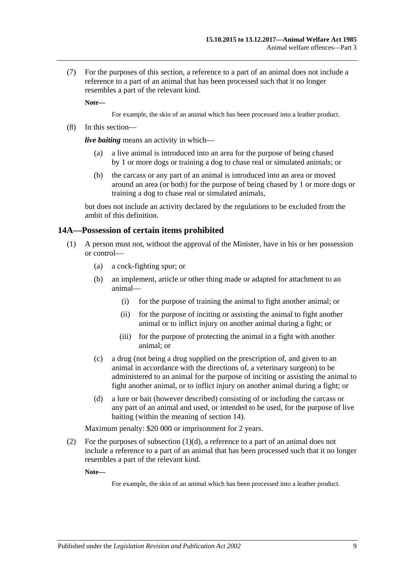(7) For the purposes of this section, a reference to a part of an animal does not include a reference to a part of an animal that has been processed such that it no longer resembles a part of the relevant kind.

**Note—**

For example, the skin of an animal which has been processed into a leather product.

(8) In this section—

*live baiting* means an activity in which—

- (a) a live animal is introduced into an area for the purpose of being chased by 1 or more dogs or training a dog to chase real or simulated animals; or
- (b) the carcass or any part of an animal is introduced into an area or moved around an area (or both) for the purpose of being chased by 1 or more dogs or training a dog to chase real or simulated animals,

but does not include an activity declared by the regulations to be excluded from the ambit of this definition.

### <span id="page-8-0"></span>**14A—Possession of certain items prohibited**

- (1) A person must not, without the approval of the Minister, have in his or her possession or control—
	- (a) a cock-fighting spur; or
	- (b) an implement, article or other thing made or adapted for attachment to an animal—
		- (i) for the purpose of training the animal to fight another animal; or
		- (ii) for the purpose of inciting or assisting the animal to fight another animal or to inflict injury on another animal during a fight; or
		- (iii) for the purpose of protecting the animal in a fight with another animal; or
	- (c) a drug (not being a drug supplied on the prescription of, and given to an animal in accordance with the directions of, a veterinary surgeon) to be administered to an animal for the purpose of inciting or assisting the animal to fight another animal, or to inflict injury on another animal during a fight; or
	- (d) a lure or bait (however described) consisting of or including the carcass or any part of an animal and used, or intended to be used, for the purpose of live baiting (within the meaning of section 14).

<span id="page-8-1"></span>Maximum penalty: \$20 000 or imprisonment for 2 years.

(2) For the purposes of [subsection](#page-8-1)  $(1)(d)$ , a reference to a part of an animal does not include a reference to a part of an animal that has been processed such that it no longer resembles a part of the relevant kind.

**Note—**

For example, the skin of an animal which has been processed into a leather product.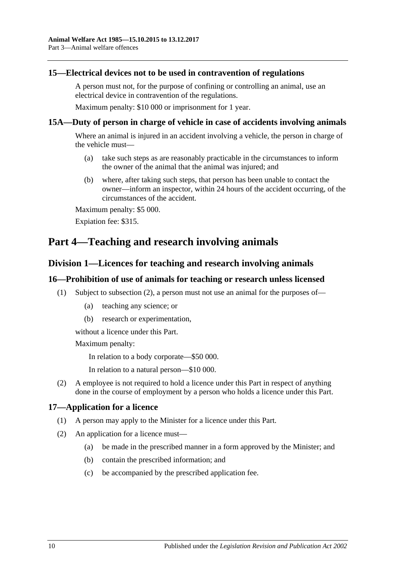### <span id="page-9-0"></span>**15—Electrical devices not to be used in contravention of regulations**

A person must not, for the purpose of confining or controlling an animal, use an electrical device in contravention of the regulations.

Maximum penalty: \$10 000 or imprisonment for 1 year.

### <span id="page-9-1"></span>**15A—Duty of person in charge of vehicle in case of accidents involving animals**

Where an animal is injured in an accident involving a vehicle, the person in charge of the vehicle must—

- (a) take such steps as are reasonably practicable in the circumstances to inform the owner of the animal that the animal was injured; and
- (b) where, after taking such steps, that person has been unable to contact the owner—inform an inspector, within 24 hours of the accident occurring, of the circumstances of the accident.

Maximum penalty: \$5 000.

Expiation fee: \$315.

## <span id="page-9-3"></span><span id="page-9-2"></span>**Part 4—Teaching and research involving animals**

## **Division 1—Licences for teaching and research involving animals**

### <span id="page-9-4"></span>**16—Prohibition of use of animals for teaching or research unless licensed**

- (1) Subject to [subsection](#page-9-6) (2), a person must not use an animal for the purposes of—
	- (a) teaching any science; or
	- (b) research or experimentation,

without a licence under this Part.

Maximum penalty:

In relation to a body corporate—\$50 000.

In relation to a natural person—\$10 000.

<span id="page-9-6"></span>(2) A employee is not required to hold a licence under this Part in respect of anything done in the course of employment by a person who holds a licence under this Part.

### <span id="page-9-5"></span>**17—Application for a licence**

- (1) A person may apply to the Minister for a licence under this Part.
- (2) An application for a licence must—
	- (a) be made in the prescribed manner in a form approved by the Minister; and
	- (b) contain the prescribed information; and
	- (c) be accompanied by the prescribed application fee.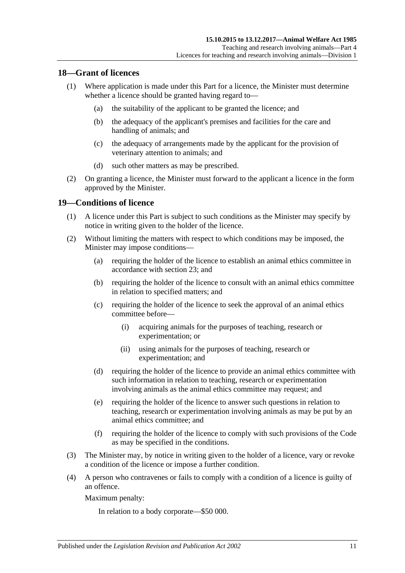### <span id="page-10-0"></span>**18—Grant of licences**

- (1) Where application is made under this Part for a licence, the Minister must determine whether a licence should be granted having regard to—
	- (a) the suitability of the applicant to be granted the licence; and
	- (b) the adequacy of the applicant's premises and facilities for the care and handling of animals; and
	- (c) the adequacy of arrangements made by the applicant for the provision of veterinary attention to animals; and
	- (d) such other matters as may be prescribed.
- (2) On granting a licence, the Minister must forward to the applicant a licence in the form approved by the Minister.

### <span id="page-10-1"></span>**19—Conditions of licence**

- (1) A licence under this Part is subject to such conditions as the Minister may specify by notice in writing given to the holder of the licence.
- (2) Without limiting the matters with respect to which conditions may be imposed, the Minister may impose conditions—
	- (a) requiring the holder of the licence to establish an animal ethics committee in accordance with [section](#page-11-4) 23; and
	- (b) requiring the holder of the licence to consult with an animal ethics committee in relation to specified matters; and
	- (c) requiring the holder of the licence to seek the approval of an animal ethics committee before—
		- (i) acquiring animals for the purposes of teaching, research or experimentation; or
		- (ii) using animals for the purposes of teaching, research or experimentation; and
	- (d) requiring the holder of the licence to provide an animal ethics committee with such information in relation to teaching, research or experimentation involving animals as the animal ethics committee may request; and
	- (e) requiring the holder of the licence to answer such questions in relation to teaching, research or experimentation involving animals as may be put by an animal ethics committee; and
	- (f) requiring the holder of the licence to comply with such provisions of the Code as may be specified in the conditions.
- (3) The Minister may, by notice in writing given to the holder of a licence, vary or revoke a condition of the licence or impose a further condition.
- (4) A person who contravenes or fails to comply with a condition of a licence is guilty of an offence.

Maximum penalty:

In relation to a body corporate—\$50 000.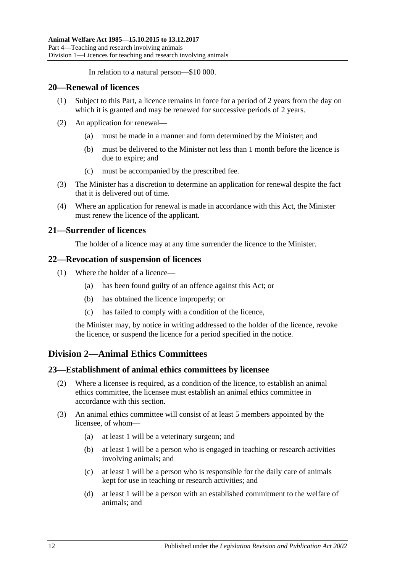In relation to a natural person—\$10 000.

### <span id="page-11-0"></span>**20—Renewal of licences**

- (1) Subject to this Part, a licence remains in force for a period of 2 years from the day on which it is granted and may be renewed for successive periods of 2 years.
- (2) An application for renewal—
	- (a) must be made in a manner and form determined by the Minister; and
	- (b) must be delivered to the Minister not less than 1 month before the licence is due to expire; and
	- (c) must be accompanied by the prescribed fee.
- (3) The Minister has a discretion to determine an application for renewal despite the fact that it is delivered out of time.
- (4) Where an application for renewal is made in accordance with this Act, the Minister must renew the licence of the applicant.

## <span id="page-11-1"></span>**21—Surrender of licences**

The holder of a licence may at any time surrender the licence to the Minister.

### <span id="page-11-2"></span>**22—Revocation of suspension of licences**

- (1) Where the holder of a licence—
	- (a) has been found guilty of an offence against this Act; or
	- (b) has obtained the licence improperly; or
	- (c) has failed to comply with a condition of the licence,

the Minister may, by notice in writing addressed to the holder of the licence, revoke the licence, or suspend the licence for a period specified in the notice.

## <span id="page-11-3"></span>**Division 2—Animal Ethics Committees**

### <span id="page-11-4"></span>**23—Establishment of animal ethics committees by licensee**

- (2) Where a licensee is required, as a condition of the licence, to establish an animal ethics committee, the licensee must establish an animal ethics committee in accordance with this section.
- <span id="page-11-9"></span><span id="page-11-8"></span><span id="page-11-7"></span><span id="page-11-6"></span><span id="page-11-5"></span>(3) An animal ethics committee will consist of at least 5 members appointed by the licensee, of whom—
	- (a) at least 1 will be a veterinary surgeon; and
	- (b) at least 1 will be a person who is engaged in teaching or research activities involving animals; and
	- (c) at least 1 will be a person who is responsible for the daily care of animals kept for use in teaching or research activities; and
	- (d) at least 1 will be a person with an established commitment to the welfare of animals; and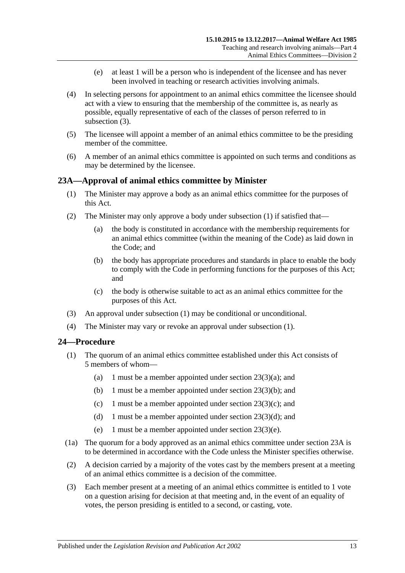- (e) at least 1 will be a person who is independent of the licensee and has never been involved in teaching or research activities involving animals.
- <span id="page-12-3"></span>(4) In selecting persons for appointment to an animal ethics committee the licensee should act with a view to ensuring that the membership of the committee is, as nearly as possible, equally representative of each of the classes of person referred to in [subsection](#page-11-5) (3).
- (5) The licensee will appoint a member of an animal ethics committee to be the presiding member of the committee.
- (6) A member of an animal ethics committee is appointed on such terms and conditions as may be determined by the licensee.

## <span id="page-12-2"></span><span id="page-12-0"></span>**23A—Approval of animal ethics committee by Minister**

- (1) The Minister may approve a body as an animal ethics committee for the purposes of this Act.
- (2) The Minister may only approve a body under [subsection](#page-12-2) (1) if satisfied that—
	- (a) the body is constituted in accordance with the membership requirements for an animal ethics committee (within the meaning of the Code) as laid down in the Code; and
	- (b) the body has appropriate procedures and standards in place to enable the body to comply with the Code in performing functions for the purposes of this Act; and
	- (c) the body is otherwise suitable to act as an animal ethics committee for the purposes of this Act.
- (3) An approval under [subsection](#page-12-2) (1) may be conditional or unconditional.
- (4) The Minister may vary or revoke an approval under [subsection](#page-12-2) (1).

## <span id="page-12-1"></span>**24—Procedure**

- (1) The quorum of an animal ethics committee established under this Act consists of 5 members of whom—
	- (a) 1 must be a member appointed under section  $23(3)(a)$ ; and
	- (b) 1 must be a member appointed under section [23\(3\)\(b\);](#page-11-7) and
	- (c) 1 must be a member appointed under section  $23(3)(c)$ ; and
	- (d) 1 must be a member appointed under section  $23(3)(d)$ ; and
	- (e) 1 must be a member appointed under section [23\(3\)\(e\).](#page-12-3)
- (1a) The quorum for a body approved as an animal ethics committee under [section](#page-12-0) 23A is to be determined in accordance with the Code unless the Minister specifies otherwise.
- (2) A decision carried by a majority of the votes cast by the members present at a meeting of an animal ethics committee is a decision of the committee.
- (3) Each member present at a meeting of an animal ethics committee is entitled to 1 vote on a question arising for decision at that meeting and, in the event of an equality of votes, the person presiding is entitled to a second, or casting, vote.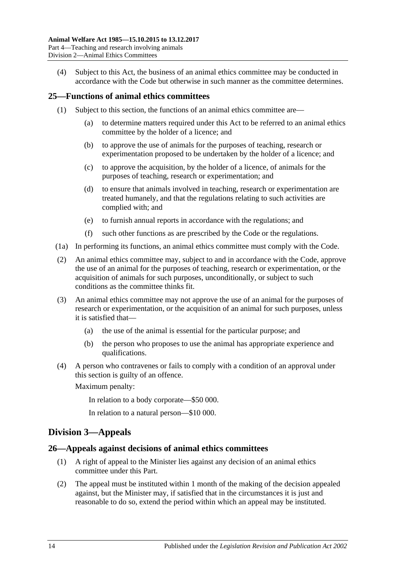(4) Subject to this Act, the business of an animal ethics committee may be conducted in accordance with the Code but otherwise in such manner as the committee determines.

### <span id="page-13-0"></span>**25—Functions of animal ethics committees**

- (1) Subject to this section, the functions of an animal ethics committee are—
	- (a) to determine matters required under this Act to be referred to an animal ethics committee by the holder of a licence; and
	- (b) to approve the use of animals for the purposes of teaching, research or experimentation proposed to be undertaken by the holder of a licence; and
	- (c) to approve the acquisition, by the holder of a licence, of animals for the purposes of teaching, research or experimentation; and
	- (d) to ensure that animals involved in teaching, research or experimentation are treated humanely, and that the regulations relating to such activities are complied with; and
	- (e) to furnish annual reports in accordance with the regulations; and
	- (f) such other functions as are prescribed by the Code or the regulations.
- (1a) In performing its functions, an animal ethics committee must comply with the Code.
- (2) An animal ethics committee may, subject to and in accordance with the Code, approve the use of an animal for the purposes of teaching, research or experimentation, or the acquisition of animals for such purposes, unconditionally, or subject to such conditions as the committee thinks fit.
- (3) An animal ethics committee may not approve the use of an animal for the purposes of research or experimentation, or the acquisition of an animal for such purposes, unless it is satisfied that—
	- (a) the use of the animal is essential for the particular purpose; and
	- (b) the person who proposes to use the animal has appropriate experience and qualifications.
- (4) A person who contravenes or fails to comply with a condition of an approval under this section is guilty of an offence.

Maximum penalty:

In relation to a body corporate—\$50 000.

In relation to a natural person—\$10 000.

## <span id="page-13-1"></span>**Division 3—Appeals**

### <span id="page-13-2"></span>**26—Appeals against decisions of animal ethics committees**

- (1) A right of appeal to the Minister lies against any decision of an animal ethics committee under this Part.
- (2) The appeal must be instituted within 1 month of the making of the decision appealed against, but the Minister may, if satisfied that in the circumstances it is just and reasonable to do so, extend the period within which an appeal may be instituted.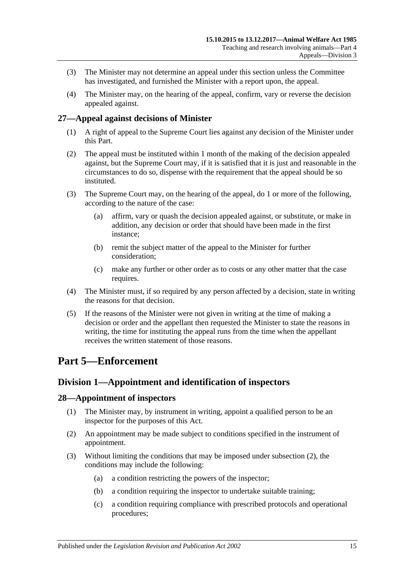- (3) The Minister may not determine an appeal under this section unless the Committee has investigated, and furnished the Minister with a report upon, the appeal.
- (4) The Minister may, on the hearing of the appeal, confirm, vary or reverse the decision appealed against.

## <span id="page-14-0"></span>**27—Appeal against decisions of Minister**

- (1) A right of appeal to the Supreme Court lies against any decision of the Minister under this Part.
- (2) The appeal must be instituted within 1 month of the making of the decision appealed against, but the Supreme Court may, if it is satisfied that it is just and reasonable in the circumstances to do so, dispense with the requirement that the appeal should be so instituted.
- (3) The Supreme Court may, on the hearing of the appeal, do 1 or more of the following, according to the nature of the case:
	- (a) affirm, vary or quash the decision appealed against, or substitute, or make in addition, any decision or order that should have been made in the first instance;
	- (b) remit the subject matter of the appeal to the Minister for further consideration;
	- (c) make any further or other order as to costs or any other matter that the case requires.
- (4) The Minister must, if so required by any person affected by a decision, state in writing the reasons for that decision.
- (5) If the reasons of the Minister were not given in writing at the time of making a decision or order and the appellant then requested the Minister to state the reasons in writing, the time for instituting the appeal runs from the time when the appellant receives the written statement of those reasons.

## <span id="page-14-1"></span>**Part 5—Enforcement**

## <span id="page-14-2"></span>**Division 1—Appointment and identification of inspectors**

## <span id="page-14-3"></span>**28—Appointment of inspectors**

- (1) The Minister may, by instrument in writing, appoint a qualified person to be an inspector for the purposes of this Act.
- <span id="page-14-4"></span>(2) An appointment may be made subject to conditions specified in the instrument of appointment.
- (3) Without limiting the conditions that may be imposed under [subsection](#page-14-4) (2), the conditions may include the following:
	- (a) a condition restricting the powers of the inspector;
	- (b) a condition requiring the inspector to undertake suitable training;
	- (c) a condition requiring compliance with prescribed protocols and operational procedures;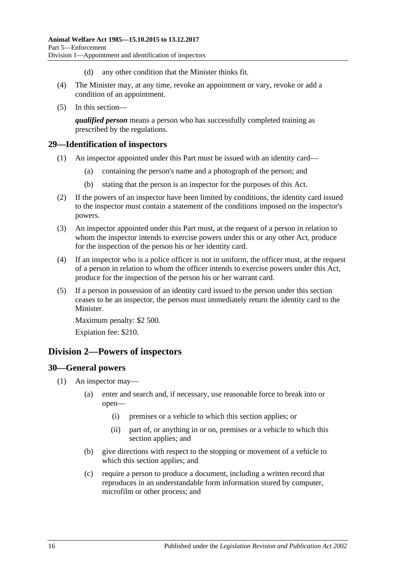- (d) any other condition that the Minister thinks fit.
- (4) The Minister may, at any time, revoke an appointment or vary, revoke or add a condition of an appointment.
- (5) In this section—

*qualified person* means a person who has successfully completed training as prescribed by the regulations.

### <span id="page-15-0"></span>**29—Identification of inspectors**

- (1) An inspector appointed under this Part must be issued with an identity card—
	- (a) containing the person's name and a photograph of the person; and
	- (b) stating that the person is an inspector for the purposes of this Act.
- (2) If the powers of an inspector have been limited by conditions, the identity card issued to the inspector must contain a statement of the conditions imposed on the inspector's powers.
- (3) An inspector appointed under this Part must, at the request of a person in relation to whom the inspector intends to exercise powers under this or any other Act, produce for the inspection of the person his or her identity card.
- (4) If an inspector who is a police officer is not in uniform, the officer must, at the request of a person in relation to whom the officer intends to exercise powers under this Act, produce for the inspection of the person his or her warrant card.
- (5) If a person in possession of an identity card issued to the person under this section ceases to be an inspector, the person must immediately return the identity card to the Minister.

Maximum penalty: \$2 500.

Expiation fee: \$210.

## <span id="page-15-1"></span>**Division 2—Powers of inspectors**

### <span id="page-15-3"></span><span id="page-15-2"></span>**30—General powers**

- <span id="page-15-4"></span>(1) An inspector may—
	- (a) enter and search and, if necessary, use reasonable force to break into or open—
		- (i) premises or a vehicle to which this section applies; or
		- (ii) part of, or anything in or on, premises or a vehicle to which this section applies; and
	- (b) give directions with respect to the stopping or movement of a vehicle to which this section applies; and
	- (c) require a person to produce a document, including a written record that reproduces in an understandable form information stored by computer, microfilm or other process; and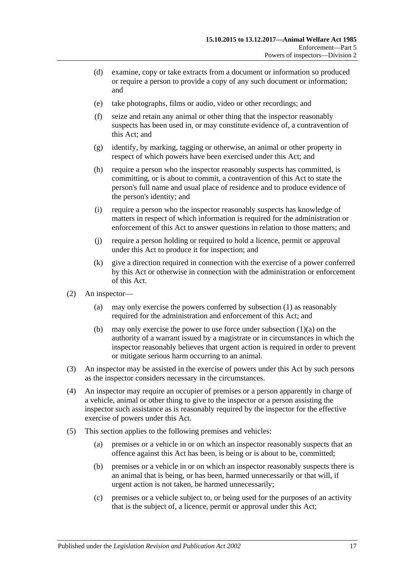- (d) examine, copy or take extracts from a document or information so produced or require a person to provide a copy of any such document or information; and
- (e) take photographs, films or audio, video or other recordings; and
- (f) seize and retain any animal or other thing that the inspector reasonably suspects has been used in, or may constitute evidence of, a contravention of this Act; and
- (g) identify, by marking, tagging or otherwise, an animal or other property in respect of which powers have been exercised under this Act; and
- (h) require a person who the inspector reasonably suspects has committed, is committing, or is about to commit, a contravention of this Act to state the person's full name and usual place of residence and to produce evidence of the person's identity; and
- (i) require a person who the inspector reasonably suspects has knowledge of matters in respect of which information is required for the administration or enforcement of this Act to answer questions in relation to those matters; and
- (j) require a person holding or required to hold a licence, permit or approval under this Act to produce it for inspection; and
- (k) give a direction required in connection with the exercise of a power conferred by this Act or otherwise in connection with the administration or enforcement of this Act.
- (2) An inspector—
	- (a) may only exercise the powers conferred by [subsection](#page-15-3) (1) as reasonably required for the administration and enforcement of this Act; and
	- (b) may only exercise the power to use force under [subsection](#page-15-4)  $(1)(a)$  on the authority of a warrant issued by a magistrate or in circumstances in which the inspector reasonably believes that urgent action is required in order to prevent or mitigate serious harm occurring to an animal.
- (3) An inspector may be assisted in the exercise of powers under this Act by such persons as the inspector considers necessary in the circumstances.
- (4) An inspector may require an occupier of premises or a person apparently in charge of a vehicle, animal or other thing to give to the inspector or a person assisting the inspector such assistance as is reasonably required by the inspector for the effective exercise of powers under this Act.
- (5) This section applies to the following premises and vehicles:
	- (a) premises or a vehicle in or on which an inspector reasonably suspects that an offence against this Act has been, is being or is about to be, committed;
	- (b) premises or a vehicle in or on which an inspector reasonably suspects there is an animal that is being, or has been, harmed unnecessarily or that will, if urgent action is not taken, be harmed unnecessarily;
	- (c) premises or a vehicle subject to, or being used for the purposes of an activity that is the subject of, a licence, permit or approval under this Act;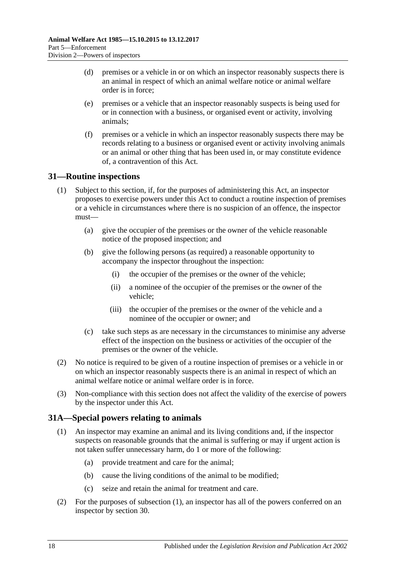- (d) premises or a vehicle in or on which an inspector reasonably suspects there is an animal in respect of which an animal welfare notice or animal welfare order is in force;
- (e) premises or a vehicle that an inspector reasonably suspects is being used for or in connection with a business, or organised event or activity, involving animals;
- (f) premises or a vehicle in which an inspector reasonably suspects there may be records relating to a business or organised event or activity involving animals or an animal or other thing that has been used in, or may constitute evidence of, a contravention of this Act.

## <span id="page-17-0"></span>**31—Routine inspections**

- (1) Subject to this section, if, for the purposes of administering this Act, an inspector proposes to exercise powers under this Act to conduct a routine inspection of premises or a vehicle in circumstances where there is no suspicion of an offence, the inspector must—
	- (a) give the occupier of the premises or the owner of the vehicle reasonable notice of the proposed inspection; and
	- (b) give the following persons (as required) a reasonable opportunity to accompany the inspector throughout the inspection:
		- (i) the occupier of the premises or the owner of the vehicle;
		- (ii) a nominee of the occupier of the premises or the owner of the vehicle;
		- (iii) the occupier of the premises or the owner of the vehicle and a nominee of the occupier or owner; and
	- (c) take such steps as are necessary in the circumstances to minimise any adverse effect of the inspection on the business or activities of the occupier of the premises or the owner of the vehicle.
- (2) No notice is required to be given of a routine inspection of premises or a vehicle in or on which an inspector reasonably suspects there is an animal in respect of which an animal welfare notice or animal welfare order is in force.
- (3) Non-compliance with this section does not affect the validity of the exercise of powers by the inspector under this Act.

## <span id="page-17-2"></span><span id="page-17-1"></span>**31A—Special powers relating to animals**

- (1) An inspector may examine an animal and its living conditions and, if the inspector suspects on reasonable grounds that the animal is suffering or may if urgent action is not taken suffer unnecessary harm, do 1 or more of the following:
	- (a) provide treatment and care for the animal;
	- (b) cause the living conditions of the animal to be modified;
	- (c) seize and retain the animal for treatment and care.
- (2) For the purposes of [subsection](#page-17-2) (1), an inspector has all of the powers conferred on an inspector by [section](#page-15-2) 30.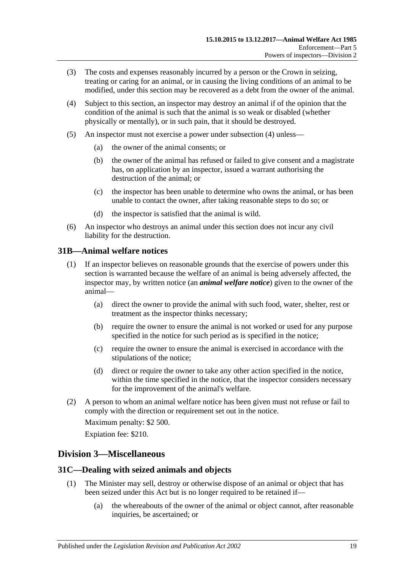- (3) The costs and expenses reasonably incurred by a person or the Crown in seizing, treating or caring for an animal, or in causing the living conditions of an animal to be modified, under this section may be recovered as a debt from the owner of the animal.
- <span id="page-18-3"></span>(4) Subject to this section, an inspector may destroy an animal if of the opinion that the condition of the animal is such that the animal is so weak or disabled (whether physically or mentally), or in such pain, that it should be destroyed.
- (5) An inspector must not exercise a power under [subsection](#page-18-3) (4) unless—
	- (a) the owner of the animal consents; or
	- (b) the owner of the animal has refused or failed to give consent and a magistrate has, on application by an inspector, issued a warrant authorising the destruction of the animal; or
	- (c) the inspector has been unable to determine who owns the animal, or has been unable to contact the owner, after taking reasonable steps to do so; or
	- (d) the inspector is satisfied that the animal is wild.
- (6) An inspector who destroys an animal under this section does not incur any civil liability for the destruction.

## <span id="page-18-0"></span>**31B—Animal welfare notices**

- (1) If an inspector believes on reasonable grounds that the exercise of powers under this section is warranted because the welfare of an animal is being adversely affected, the inspector may, by written notice (an *animal welfare notice*) given to the owner of the animal—
	- (a) direct the owner to provide the animal with such food, water, shelter, rest or treatment as the inspector thinks necessary;
	- (b) require the owner to ensure the animal is not worked or used for any purpose specified in the notice for such period as is specified in the notice;
	- (c) require the owner to ensure the animal is exercised in accordance with the stipulations of the notice;
	- (d) direct or require the owner to take any other action specified in the notice, within the time specified in the notice, that the inspector considers necessary for the improvement of the animal's welfare.
- (2) A person to whom an animal welfare notice has been given must not refuse or fail to comply with the direction or requirement set out in the notice.

Maximum penalty: \$2 500.

Expiation fee: \$210.

## <span id="page-18-1"></span>**Division 3—Miscellaneous**

## <span id="page-18-2"></span>**31C—Dealing with seized animals and objects**

- (1) The Minister may sell, destroy or otherwise dispose of an animal or object that has been seized under this Act but is no longer required to be retained if—
	- (a) the whereabouts of the owner of the animal or object cannot, after reasonable inquiries, be ascertained; or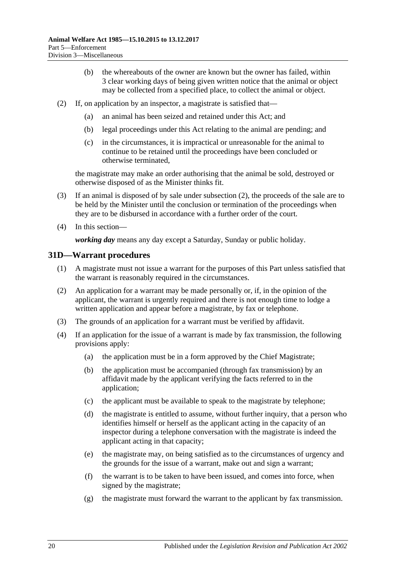- (b) the whereabouts of the owner are known but the owner has failed, within 3 clear working days of being given written notice that the animal or object may be collected from a specified place, to collect the animal or object.
- <span id="page-19-1"></span>(2) If, on application by an inspector, a magistrate is satisfied that—
	- (a) an animal has been seized and retained under this Act; and
	- (b) legal proceedings under this Act relating to the animal are pending; and
	- (c) in the circumstances, it is impractical or unreasonable for the animal to continue to be retained until the proceedings have been concluded or otherwise terminated,

the magistrate may make an order authorising that the animal be sold, destroyed or otherwise disposed of as the Minister thinks fit.

- (3) If an animal is disposed of by sale under [subsection](#page-19-1) (2), the proceeds of the sale are to be held by the Minister until the conclusion or termination of the proceedings when they are to be disbursed in accordance with a further order of the court.
- (4) In this section—

*working day* means any day except a Saturday, Sunday or public holiday.

### <span id="page-19-0"></span>**31D—Warrant procedures**

- (1) A magistrate must not issue a warrant for the purposes of this Part unless satisfied that the warrant is reasonably required in the circumstances.
- (2) An application for a warrant may be made personally or, if, in the opinion of the applicant, the warrant is urgently required and there is not enough time to lodge a written application and appear before a magistrate, by fax or telephone.
- (3) The grounds of an application for a warrant must be verified by affidavit.
- (4) If an application for the issue of a warrant is made by fax transmission, the following provisions apply:
	- (a) the application must be in a form approved by the Chief Magistrate;
	- (b) the application must be accompanied (through fax transmission) by an affidavit made by the applicant verifying the facts referred to in the application;
	- (c) the applicant must be available to speak to the magistrate by telephone;
	- (d) the magistrate is entitled to assume, without further inquiry, that a person who identifies himself or herself as the applicant acting in the capacity of an inspector during a telephone conversation with the magistrate is indeed the applicant acting in that capacity;
	- (e) the magistrate may, on being satisfied as to the circumstances of urgency and the grounds for the issue of a warrant, make out and sign a warrant;
	- (f) the warrant is to be taken to have been issued, and comes into force, when signed by the magistrate;
	- (g) the magistrate must forward the warrant to the applicant by fax transmission.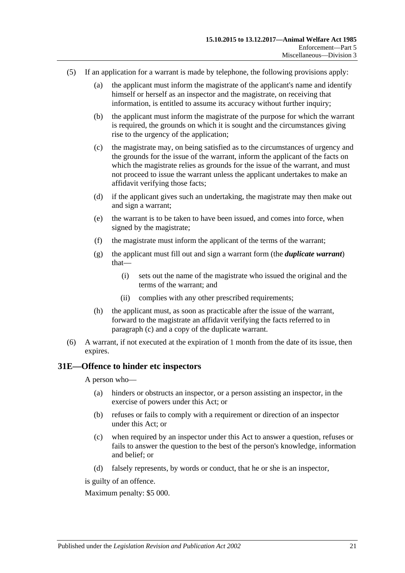- <span id="page-20-1"></span>(5) If an application for a warrant is made by telephone, the following provisions apply:
	- (a) the applicant must inform the magistrate of the applicant's name and identify himself or herself as an inspector and the magistrate, on receiving that information, is entitled to assume its accuracy without further inquiry;
	- (b) the applicant must inform the magistrate of the purpose for which the warrant is required, the grounds on which it is sought and the circumstances giving rise to the urgency of the application;
	- (c) the magistrate may, on being satisfied as to the circumstances of urgency and the grounds for the issue of the warrant, inform the applicant of the facts on which the magistrate relies as grounds for the issue of the warrant, and must not proceed to issue the warrant unless the applicant undertakes to make an affidavit verifying those facts;
	- (d) if the applicant gives such an undertaking, the magistrate may then make out and sign a warrant;
	- (e) the warrant is to be taken to have been issued, and comes into force, when signed by the magistrate;
	- (f) the magistrate must inform the applicant of the terms of the warrant;
	- (g) the applicant must fill out and sign a warrant form (the *duplicate warrant*) that—
		- (i) sets out the name of the magistrate who issued the original and the terms of the warrant; and
		- (ii) complies with any other prescribed requirements;
	- (h) the applicant must, as soon as practicable after the issue of the warrant, forward to the magistrate an affidavit verifying the facts referred to in [paragraph](#page-20-1) (c) and a copy of the duplicate warrant.
- (6) A warrant, if not executed at the expiration of 1 month from the date of its issue, then expires.

## <span id="page-20-0"></span>**31E—Offence to hinder etc inspectors**

A person who—

- (a) hinders or obstructs an inspector, or a person assisting an inspector, in the exercise of powers under this Act; or
- (b) refuses or fails to comply with a requirement or direction of an inspector under this Act; or
- (c) when required by an inspector under this Act to answer a question, refuses or fails to answer the question to the best of the person's knowledge, information and belief; or
- (d) falsely represents, by words or conduct, that he or she is an inspector,

is guilty of an offence.

Maximum penalty: \$5 000.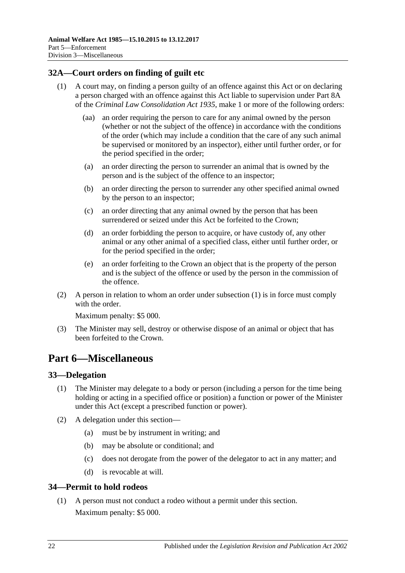## <span id="page-21-4"></span><span id="page-21-0"></span>**32A—Court orders on finding of guilt etc**

- (1) A court may, on finding a person guilty of an offence against this Act or on declaring a person charged with an offence against this Act liable to supervision under Part 8A of the *[Criminal Law Consolidation Act](http://www.legislation.sa.gov.au/index.aspx?action=legref&type=act&legtitle=Criminal%20Law%20Consolidation%20Act%201935) 1935*, make 1 or more of the following orders:
	- (aa) an order requiring the person to care for any animal owned by the person (whether or not the subject of the offence) in accordance with the conditions of the order (which may include a condition that the care of any such animal be supervised or monitored by an inspector), either until further order, or for the period specified in the order;
	- (a) an order directing the person to surrender an animal that is owned by the person and is the subject of the offence to an inspector;
	- (b) an order directing the person to surrender any other specified animal owned by the person to an inspector;
	- (c) an order directing that any animal owned by the person that has been surrendered or seized under this Act be forfeited to the Crown;
	- (d) an order forbidding the person to acquire, or have custody of, any other animal or any other animal of a specified class, either until further order, or for the period specified in the order;
	- (e) an order forfeiting to the Crown an object that is the property of the person and is the subject of the offence or used by the person in the commission of the offence.
- (2) A person in relation to whom an order under [subsection](#page-21-4) (1) is in force must comply with the order

Maximum penalty: \$5 000.

(3) The Minister may sell, destroy or otherwise dispose of an animal or object that has been forfeited to the Crown.

## <span id="page-21-1"></span>**Part 6—Miscellaneous**

## <span id="page-21-2"></span>**33—Delegation**

- (1) The Minister may delegate to a body or person (including a person for the time being holding or acting in a specified office or position) a function or power of the Minister under this Act (except a prescribed function or power).
- (2) A delegation under this section—
	- (a) must be by instrument in writing; and
	- (b) may be absolute or conditional; and
	- (c) does not derogate from the power of the delegator to act in any matter; and
	- (d) is revocable at will.

## <span id="page-21-3"></span>**34—Permit to hold rodeos**

(1) A person must not conduct a rodeo without a permit under this section. Maximum penalty: \$5 000.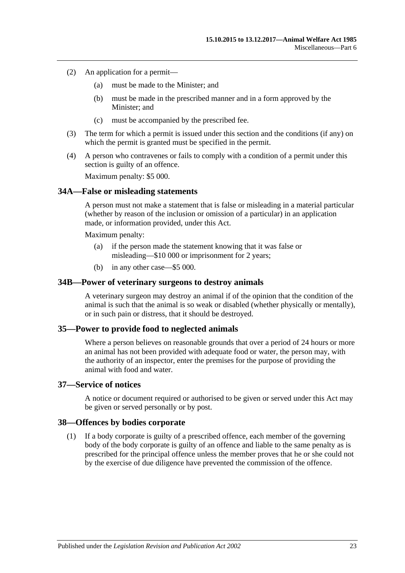- (2) An application for a permit—
	- (a) must be made to the Minister; and
	- (b) must be made in the prescribed manner and in a form approved by the Minister; and
	- (c) must be accompanied by the prescribed fee.
- (3) The term for which a permit is issued under this section and the conditions (if any) on which the permit is granted must be specified in the permit.
- (4) A person who contravenes or fails to comply with a condition of a permit under this section is guilty of an offence.

Maximum penalty: \$5 000.

### <span id="page-22-0"></span>**34A—False or misleading statements**

A person must not make a statement that is false or misleading in a material particular (whether by reason of the inclusion or omission of a particular) in an application made, or information provided, under this Act.

Maximum penalty:

- (a) if the person made the statement knowing that it was false or misleading—\$10 000 or imprisonment for 2 years;
- (b) in any other case—\$5 000.

#### <span id="page-22-1"></span>**34B—Power of veterinary surgeons to destroy animals**

A veterinary surgeon may destroy an animal if of the opinion that the condition of the animal is such that the animal is so weak or disabled (whether physically or mentally), or in such pain or distress, that it should be destroyed.

### <span id="page-22-2"></span>**35—Power to provide food to neglected animals**

Where a person believes on reasonable grounds that over a period of 24 hours or more an animal has not been provided with adequate food or water, the person may, with the authority of an inspector, enter the premises for the purpose of providing the animal with food and water.

## <span id="page-22-3"></span>**37—Service of notices**

A notice or document required or authorised to be given or served under this Act may be given or served personally or by post.

#### <span id="page-22-4"></span>**38—Offences by bodies corporate**

(1) If a body corporate is guilty of a prescribed offence, each member of the governing body of the body corporate is guilty of an offence and liable to the same penalty as is prescribed for the principal offence unless the member proves that he or she could not by the exercise of due diligence have prevented the commission of the offence.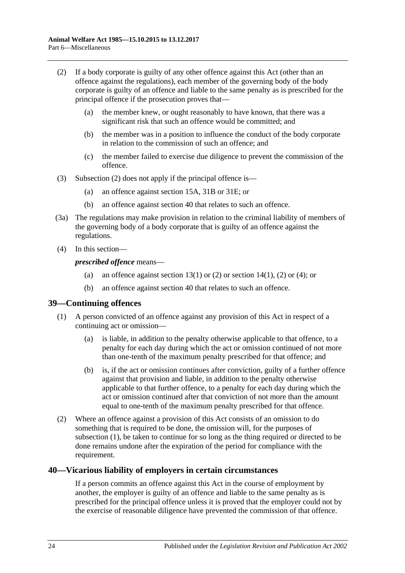- <span id="page-23-2"></span>(2) If a body corporate is guilty of any other offence against this Act (other than an offence against the regulations), each member of the governing body of the body corporate is guilty of an offence and liable to the same penalty as is prescribed for the principal offence if the prosecution proves that—
	- (a) the member knew, or ought reasonably to have known, that there was a significant risk that such an offence would be committed; and
	- (b) the member was in a position to influence the conduct of the body corporate in relation to the commission of such an offence; and
	- (c) the member failed to exercise due diligence to prevent the commission of the offence.
- (3) [Subsection](#page-23-2) (2) does not apply if the principal offence is—
	- (a) an offence against [section](#page-9-1) 15A, [31B](#page-18-0) or [31E;](#page-20-0) or
	- (b) an offence against [section](#page-23-1) 40 that relates to such an offence.
- (3a) The regulations may make provision in relation to the criminal liability of members of the governing body of a body corporate that is guilty of an offence against the regulations.
- (4) In this section—

*prescribed offence* means—

- (a) an offence against [section](#page-6-2) 13(1) or [\(2\)](#page-6-3) or section 14(1), (2) or (4); or
- (b) an offence against [section](#page-23-1) 40 that relates to such an offence.

### <span id="page-23-3"></span><span id="page-23-0"></span>**39—Continuing offences**

- (1) A person convicted of an offence against any provision of this Act in respect of a continuing act or omission—
	- (a) is liable, in addition to the penalty otherwise applicable to that offence, to a penalty for each day during which the act or omission continued of not more than one-tenth of the maximum penalty prescribed for that offence; and
	- (b) is, if the act or omission continues after conviction, guilty of a further offence against that provision and liable, in addition to the penalty otherwise applicable to that further offence, to a penalty for each day during which the act or omission continued after that conviction of not more than the amount equal to one-tenth of the maximum penalty prescribed for that offence.
- (2) Where an offence against a provision of this Act consists of an omission to do something that is required to be done, the omission will, for the purposes of [subsection](#page-23-3) (1), be taken to continue for so long as the thing required or directed to be done remains undone after the expiration of the period for compliance with the requirement.

### <span id="page-23-1"></span>**40—Vicarious liability of employers in certain circumstances**

If a person commits an offence against this Act in the course of employment by another, the employer is guilty of an offence and liable to the same penalty as is prescribed for the principal offence unless it is proved that the employer could not by the exercise of reasonable diligence have prevented the commission of that offence.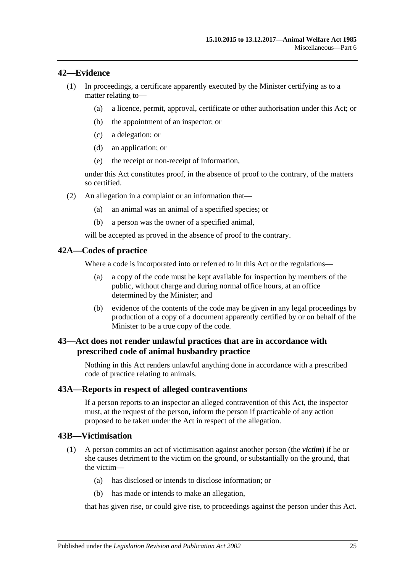### <span id="page-24-0"></span>**42—Evidence**

- (1) In proceedings, a certificate apparently executed by the Minister certifying as to a matter relating to—
	- (a) a licence, permit, approval, certificate or other authorisation under this Act; or
	- (b) the appointment of an inspector; or
	- (c) a delegation; or
	- (d) an application; or
	- (e) the receipt or non-receipt of information,

under this Act constitutes proof, in the absence of proof to the contrary, of the matters so certified.

- (2) An allegation in a complaint or an information that—
	- (a) an animal was an animal of a specified species; or
	- (b) a person was the owner of a specified animal,

will be accepted as proved in the absence of proof to the contrary.

### <span id="page-24-1"></span>**42A—Codes of practice**

Where a code is incorporated into or referred to in this Act or the regulations—

- (a) a copy of the code must be kept available for inspection by members of the public, without charge and during normal office hours, at an office determined by the Minister; and
- (b) evidence of the contents of the code may be given in any legal proceedings by production of a copy of a document apparently certified by or on behalf of the Minister to be a true copy of the code.

## <span id="page-24-2"></span>**43—Act does not render unlawful practices that are in accordance with prescribed code of animal husbandry practice**

Nothing in this Act renders unlawful anything done in accordance with a prescribed code of practice relating to animals.

### <span id="page-24-3"></span>**43A—Reports in respect of alleged contraventions**

If a person reports to an inspector an alleged contravention of this Act, the inspector must, at the request of the person, inform the person if practicable of any action proposed to be taken under the Act in respect of the allegation.

### <span id="page-24-4"></span>**43B—Victimisation**

- (1) A person commits an act of victimisation against another person (the *victim*) if he or she causes detriment to the victim on the ground, or substantially on the ground, that the victim—
	- (a) has disclosed or intends to disclose information; or
	- (b) has made or intends to make an allegation,

that has given rise, or could give rise, to proceedings against the person under this Act.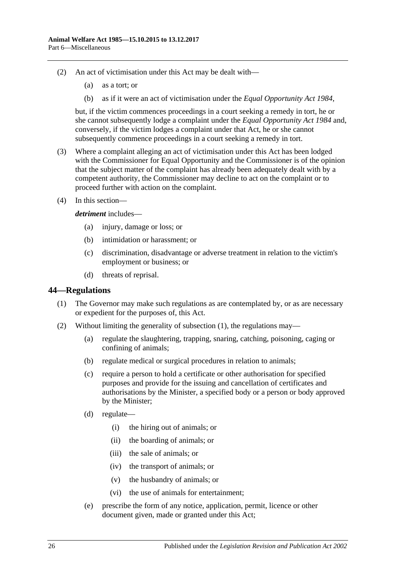- (2) An act of victimisation under this Act may be dealt with—
	- (a) as a tort; or
	- (b) as if it were an act of victimisation under the *[Equal Opportunity Act](http://www.legislation.sa.gov.au/index.aspx?action=legref&type=act&legtitle=Equal%20Opportunity%20Act%201984) 1984*,

but, if the victim commences proceedings in a court seeking a remedy in tort, he or she cannot subsequently lodge a complaint under the *[Equal Opportunity Act](http://www.legislation.sa.gov.au/index.aspx?action=legref&type=act&legtitle=Equal%20Opportunity%20Act%201984) 1984* and, conversely, if the victim lodges a complaint under that Act, he or she cannot subsequently commence proceedings in a court seeking a remedy in tort.

- (3) Where a complaint alleging an act of victimisation under this Act has been lodged with the Commissioner for Equal Opportunity and the Commissioner is of the opinion that the subject matter of the complaint has already been adequately dealt with by a competent authority, the Commissioner may decline to act on the complaint or to proceed further with action on the complaint.
- (4) In this section—

#### *detriment* includes—

- (a) injury, damage or loss; or
- (b) intimidation or harassment; or
- (c) discrimination, disadvantage or adverse treatment in relation to the victim's employment or business; or
- (d) threats of reprisal.

#### <span id="page-25-1"></span><span id="page-25-0"></span>**44—Regulations**

- (1) The Governor may make such regulations as are contemplated by, or as are necessary or expedient for the purposes of, this Act.
- (2) Without limiting the generality of [subsection](#page-25-1) (1), the regulations may—
	- (a) regulate the slaughtering, trapping, snaring, catching, poisoning, caging or confining of animals;
	- (b) regulate medical or surgical procedures in relation to animals;
	- (c) require a person to hold a certificate or other authorisation for specified purposes and provide for the issuing and cancellation of certificates and authorisations by the Minister, a specified body or a person or body approved by the Minister;
	- (d) regulate—
		- (i) the hiring out of animals; or
		- (ii) the boarding of animals; or
		- (iii) the sale of animals; or
		- (iv) the transport of animals; or
		- (v) the husbandry of animals; or
		- (vi) the use of animals for entertainment;
	- (e) prescribe the form of any notice, application, permit, licence or other document given, made or granted under this Act;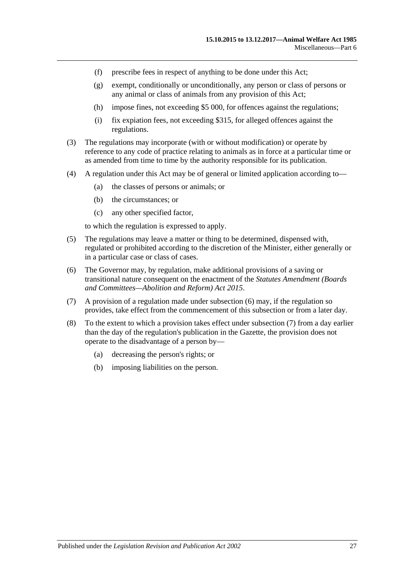- (f) prescribe fees in respect of anything to be done under this Act;
- (g) exempt, conditionally or unconditionally, any person or class of persons or any animal or class of animals from any provision of this Act;
- (h) impose fines, not exceeding \$5 000, for offences against the regulations;
- (i) fix expiation fees, not exceeding \$315, for alleged offences against the regulations.
- (3) The regulations may incorporate (with or without modification) or operate by reference to any code of practice relating to animals as in force at a particular time or as amended from time to time by the authority responsible for its publication.
- (4) A regulation under this Act may be of general or limited application according to—
	- (a) the classes of persons or animals; or
	- (b) the circumstances; or
	- (c) any other specified factor,

to which the regulation is expressed to apply.

- (5) The regulations may leave a matter or thing to be determined, dispensed with, regulated or prohibited according to the discretion of the Minister, either generally or in a particular case or class of cases.
- <span id="page-26-0"></span>(6) The Governor may, by regulation, make additional provisions of a saving or transitional nature consequent on the enactment of the *[Statutes Amendment \(Boards](http://www.legislation.sa.gov.au/index.aspx?action=legref&type=act&legtitle=Statutes%20Amendment%20(Boards%20and%20Committees%E2%80%94Abolition%20and%20Reform)%20Act%202015)  [and Committees—Abolition and Reform\) Act](http://www.legislation.sa.gov.au/index.aspx?action=legref&type=act&legtitle=Statutes%20Amendment%20(Boards%20and%20Committees%E2%80%94Abolition%20and%20Reform)%20Act%202015) 2015*.
- <span id="page-26-1"></span>(7) A provision of a regulation made under [subsection](#page-26-0) (6) may, if the regulation so provides, take effect from the commencement of this subsection or from a later day.
- (8) To the extent to which a provision takes effect under [subsection](#page-26-1) (7) from a day earlier than the day of the regulation's publication in the Gazette, the provision does not operate to the disadvantage of a person by—
	- (a) decreasing the person's rights; or
	- (b) imposing liabilities on the person.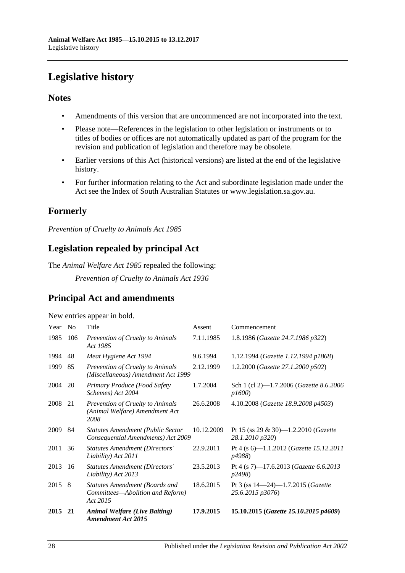## <span id="page-27-0"></span>**Legislative history**

## **Notes**

- Amendments of this version that are uncommenced are not incorporated into the text.
- Please note—References in the legislation to other legislation or instruments or to titles of bodies or offices are not automatically updated as part of the program for the revision and publication of legislation and therefore may be obsolete.
- Earlier versions of this Act (historical versions) are listed at the end of the legislative history.
- For further information relating to the Act and subordinate legislation made under the Act see the Index of South Australian Statutes or www.legislation.sa.gov.au.

## **Formerly**

*Prevention of Cruelty to Animals Act 1985*

## **Legislation repealed by principal Act**

The *Animal Welfare Act 1985* repealed the following:

*Prevention of Cruelty to Animals Act 1936*

## **Principal Act and amendments**

| New entries appear in bold. |  |  |
|-----------------------------|--|--|

| Year | N <sub>0</sub> | Title                                                                                 | Assent     | Commencement                                                     |
|------|----------------|---------------------------------------------------------------------------------------|------------|------------------------------------------------------------------|
| 1985 | 106            | Prevention of Cruelty to Animals<br>Act 1985                                          | 7.11.1985  | 1.8.1986 (Gazette 24.7.1986 p322)                                |
| 1994 | 48             | Meat Hygiene Act 1994                                                                 | 9.6.1994   | 1.12.1994 (Gazette 1.12.1994 p1868)                              |
| 1999 | 85             | <b>Prevention of Cruelty to Animals</b><br>(Miscellaneous) Amendment Act 1999         | 2.12.1999  | 1.2.2000 (Gazette 27.1.2000 p502)                                |
| 2004 | 20             | Primary Produce (Food Safety<br>Schemes) Act 2004                                     | 1.7.2004   | Sch 1 (cl 2)-1.7.2006 (Gazette 8.6.2006)<br><i>p1600</i> )       |
| 2008 | 21             | Prevention of Cruelty to Animals<br>(Animal Welfare) Amendment Act<br>2008            | 26.6.2008  | 4.10.2008 (Gazette 18.9.2008 p4503)                              |
| 2009 | -84            | <b>Statutes Amendment (Public Sector</b><br>Consequential Amendments) Act 2009        | 10.12.2009 | Pt 15 (ss 29 & 30)—1.2.2010 ( <i>Gazette</i><br>28.1.2010 p320)  |
| 2011 | 36             | <b>Statutes Amendment (Directors'</b><br>Liability) Act 2011                          | 22.9.2011  | Pt 4 (s 6)—1.1.2012 ( <i>Gazette 15.12.2011</i><br>p4988)        |
| 2013 | 16             | <b>Statutes Amendment (Directors'</b><br>Liability) Act 2013                          | 23.5.2013  | Pt 4 (s 7)-17.6.2013 (Gazette 6.6.2013<br>p2498)                 |
| 2015 | -8             | <b>Statutes Amendment (Boards and</b><br>Committees-Abolition and Reform)<br>Act 2015 | 18.6.2015  | Pt 3 (ss $14-24$ )-1.7.2015 ( <i>Gazette</i><br>25.6.2015 p3076) |
| 2015 | 21             | <b>Animal Welfare (Live Baiting)</b><br><b>Amendment Act 2015</b>                     | 17.9.2015  | 15.10.2015 (Gazette 15.10.2015 p4609)                            |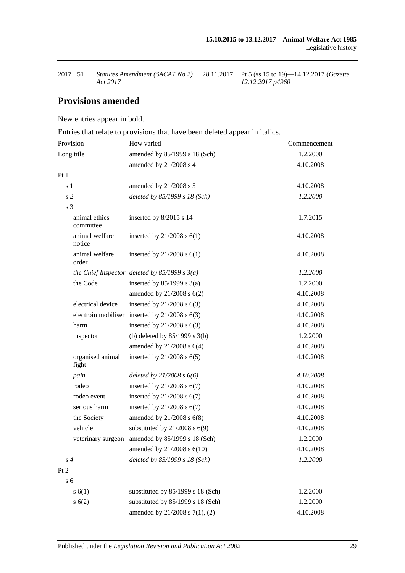| 2017 51 | Statutes Amendment (SACAT No 2) | 28.1 |
|---------|---------------------------------|------|
|         | Act 2017                        |      |

28.11.2017 Pt 5 (ss 15 to 19)—14.12.2017 (*Gazette 12.12.2017 p4960*

## **Provisions amended**

New entries appear in bold.

Entries that relate to provisions that have been deleted appear in italics.

| Provision                  | How varied                                        | Commencement |
|----------------------------|---------------------------------------------------|--------------|
| Long title                 | amended by 85/1999 s 18 (Sch)                     | 1.2.2000     |
|                            | amended by 21/2008 s 4                            | 4.10.2008    |
| Pt1                        |                                                   |              |
| s <sub>1</sub>             | amended by 21/2008 s 5                            | 4.10.2008    |
| s <sub>2</sub>             | deleted by 85/1999 s 18 (Sch)                     | 1.2.2000     |
| s <sub>3</sub>             |                                                   |              |
| animal ethics<br>committee | inserted by 8/2015 s 14                           | 1.7.2015     |
| animal welfare<br>notice   | inserted by $21/2008$ s $6(1)$                    | 4.10.2008    |
| animal welfare<br>order    | inserted by $21/2008$ s $6(1)$                    | 4.10.2008    |
|                            | the Chief Inspector deleted by $85/1999 s 3(a)$   | 1.2.2000     |
| the Code                   | inserted by $85/1999$ s 3(a)                      | 1.2.2000     |
|                            | amended by $21/2008$ s $6(2)$                     | 4.10.2008    |
| electrical device          | inserted by $21/2008$ s $6(3)$                    | 4.10.2008    |
|                            | electroimmobiliser inserted by $21/2008$ s $6(3)$ | 4.10.2008    |
| harm                       | inserted by $21/2008$ s $6(3)$                    | 4.10.2008    |
| inspector                  | (b) deleted by $85/1999$ s $3(b)$                 | 1.2.2000     |
|                            | amended by $21/2008$ s $6(4)$                     | 4.10.2008    |
| organised animal<br>fight  | inserted by $21/2008$ s $6(5)$                    | 4.10.2008    |
| pain                       | deleted by $21/2008 s 6(6)$                       | 4.10.2008    |
| rodeo                      | inserted by $21/2008$ s $6(7)$                    | 4.10.2008    |
| rodeo event                | inserted by $21/2008$ s $6(7)$                    | 4.10.2008    |
| serious harm               | inserted by $21/2008$ s $6(7)$                    | 4.10.2008    |
| the Society                | amended by $21/2008$ s $6(8)$                     | 4.10.2008    |
| vehicle                    | substituted by $21/2008$ s $6(9)$                 | 4.10.2008    |
|                            | veterinary surgeon amended by 85/1999 s 18 (Sch)  | 1.2.2000     |
|                            | amended by 21/2008 s 6(10)                        | 4.10.2008    |
| $s\,4$                     | deleted by 85/1999 s 18 (Sch)                     | 1.2.2000     |
| Pt <sub>2</sub>            |                                                   |              |
| s <sub>6</sub>             |                                                   |              |
| s(6(1))                    | substituted by 85/1999 s 18 (Sch)                 | 1.2.2000     |
| s(6(2)                     | substituted by 85/1999 s 18 (Sch)                 | 1.2.2000     |
|                            | amended by 21/2008 s 7(1), (2)                    | 4.10.2008    |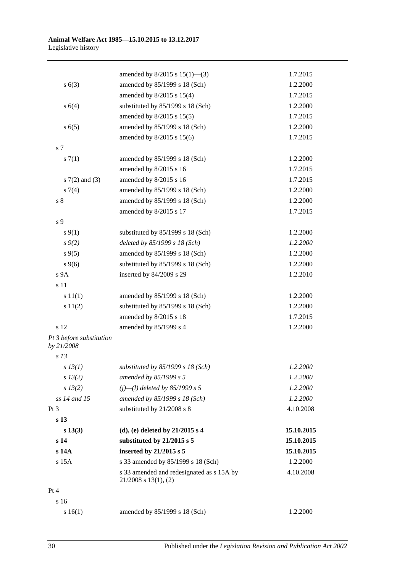|                                        | amended by $8/2015$ s $15(1)$ —(3)                                     | 1.7.2015   |
|----------------------------------------|------------------------------------------------------------------------|------------|
| s(6(3))                                | amended by 85/1999 s 18 (Sch)                                          | 1.2.2000   |
|                                        | amended by 8/2015 s 15(4)                                              | 1.7.2015   |
| s(4)                                   | substituted by 85/1999 s 18 (Sch)                                      | 1.2.2000   |
|                                        | amended by $8/2015$ s $15(5)$                                          | 1.7.2015   |
| s(6(5)                                 | amended by 85/1999 s 18 (Sch)                                          | 1.2.2000   |
|                                        | amended by 8/2015 s 15(6)                                              | 1.7.2015   |
| s 7                                    |                                                                        |            |
| s(7(1))                                | amended by 85/1999 s 18 (Sch)                                          | 1.2.2000   |
|                                        | amended by 8/2015 s 16                                                 | 1.7.2015   |
| s $7(2)$ and $(3)$                     | amended by 8/2015 s 16                                                 | 1.7.2015   |
| $s \, 7(4)$                            | amended by 85/1999 s 18 (Sch)                                          | 1.2.2000   |
| s <sub>8</sub>                         | amended by 85/1999 s 18 (Sch)                                          | 1.2.2000   |
|                                        | amended by 8/2015 s 17                                                 | 1.7.2015   |
| s 9                                    |                                                                        |            |
| $s \, 9(1)$                            | substituted by 85/1999 s 18 (Sch)                                      | 1.2.2000   |
| $s \, 9(2)$                            | deleted by 85/1999 s 18 (Sch)                                          | 1.2.2000   |
| $s \, 9(5)$                            | amended by 85/1999 s 18 (Sch)                                          | 1.2.2000   |
| $s \, 9(6)$                            | substituted by 85/1999 s 18 (Sch)                                      | 1.2.2000   |
| s 9A                                   | inserted by 84/2009 s 29                                               | 1.2.2010   |
| s 11                                   |                                                                        |            |
| s 11(1)                                | amended by 85/1999 s 18 (Sch)                                          | 1.2.2000   |
| s 11(2)                                | substituted by 85/1999 s 18 (Sch)                                      | 1.2.2000   |
|                                        | amended by 8/2015 s 18                                                 | 1.7.2015   |
| s 12                                   | amended by 85/1999 s 4                                                 | 1.2.2000   |
| Pt 3 before substitution<br>by 21/2008 |                                                                        |            |
| s <sub>13</sub>                        |                                                                        |            |
| $s$ 13(1)                              | substituted by $85/1999 s 18$ (Sch)                                    | 1.2.2000   |
| $s\,13(2)$                             | amended by 85/1999 s 5                                                 | 1.2.2000   |
| s 13(2)                                | $(j)$ —(l) deleted by 85/1999 s 5                                      | 1.2.2000   |
| ss 14 and 15                           | amended by 85/1999 s 18 (Sch)                                          | 1.2.2000   |
| Pt 3                                   | substituted by 21/2008 s 8                                             | 4.10.2008  |
| s 13                                   |                                                                        |            |
| s 13(3)                                | (d), (e) deleted by $21/2015 s 4$                                      | 15.10.2015 |
| s 14                                   | substituted by 21/2015 s 5                                             | 15.10.2015 |
| s 14A                                  | inserted by 21/2015 s 5                                                | 15.10.2015 |
| s 15A                                  | s 33 amended by 85/1999 s 18 (Sch)                                     | 1.2.2000   |
|                                        | s 33 amended and redesignated as s 15A by<br>$21/2008$ s $13(1)$ , (2) | 4.10.2008  |
| Pt 4                                   |                                                                        |            |
| s 16                                   |                                                                        |            |
| s 16(1)                                | amended by 85/1999 s 18 (Sch)                                          | 1.2.2000   |
|                                        |                                                                        |            |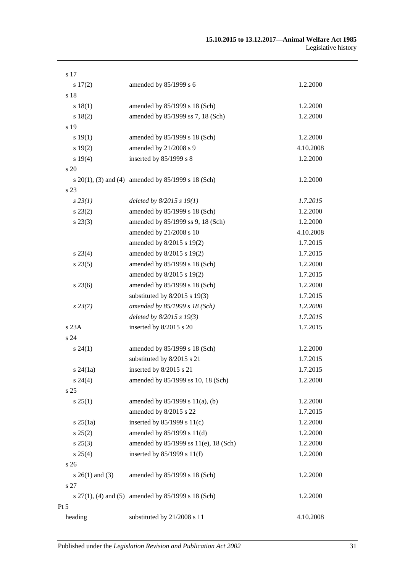| s 17              |                                                         |           |
|-------------------|---------------------------------------------------------|-----------|
| 17(2)             | amended by 85/1999 s 6                                  | 1.2.2000  |
| s 18              |                                                         |           |
| s 18(1)           | amended by 85/1999 s 18 (Sch)                           | 1.2.2000  |
| s 18(2)           | amended by 85/1999 ss 7, 18 (Sch)                       | 1.2.2000  |
| s 19              |                                                         |           |
| s 19(1)           | amended by 85/1999 s 18 (Sch)                           | 1.2.2000  |
| s 19(2)           | amended by 21/2008 s 9                                  | 4.10.2008 |
| s 19(4)           | inserted by 85/1999 s 8                                 | 1.2.2000  |
| s 20              |                                                         |           |
|                   | s 20(1), (3) and (4) amended by 85/1999 s 18 (Sch)      | 1.2.2000  |
| s 23              |                                                         |           |
| $s\,23(1)$        | deleted by $8/2015 s 19(1)$                             | 1.7.2015  |
| $s\,23(2)$        | amended by 85/1999 s 18 (Sch)                           | 1.2.2000  |
| $s\,23(3)$        | amended by 85/1999 ss 9, 18 (Sch)                       | 1.2.2000  |
|                   | amended by 21/2008 s 10                                 | 4.10.2008 |
|                   | amended by 8/2015 s 19(2)                               | 1.7.2015  |
| $s\,23(4)$        | amended by 8/2015 s 19(2)                               | 1.7.2015  |
| $s\,23(5)$        | amended by 85/1999 s 18 (Sch)                           | 1.2.2000  |
|                   | amended by 8/2015 s 19(2)                               | 1.7.2015  |
| $s\,23(6)$        | amended by 85/1999 s 18 (Sch)                           | 1.2.2000  |
|                   | substituted by $8/2015$ s 19(3)                         | 1.7.2015  |
| $s\,23(7)$        | amended by 85/1999 s 18 (Sch)                           | 1.2.2000  |
|                   | deleted by $8/2015 s 19(3)$                             | 1.7.2015  |
| s 23A             | inserted by 8/2015 s 20                                 | 1.7.2015  |
| s 24              |                                                         |           |
| $s\,24(1)$        | amended by 85/1999 s 18 (Sch)                           | 1.2.2000  |
|                   | substituted by 8/2015 s 21                              | 1.7.2015  |
| $s\,24(1a)$       | inserted by 8/2015 s 21                                 | 1.7.2015  |
| $s\,24(4)$        | amended by 85/1999 ss 10, 18 (Sch)                      | 1.2.2000  |
| s <sub>25</sub>   |                                                         |           |
| s 25(1)           | amended by 85/1999 s 11(a), (b)                         | 1.2.2000  |
|                   | amended by 8/2015 s 22                                  | 1.7.2015  |
| $s \, 25(1a)$     | inserted by $85/1999$ s $11(c)$                         | 1.2.2000  |
| $s\,25(2)$        | amended by 85/1999 s 11(d)                              | 1.2.2000  |
| $s\,25(3)$        | amended by 85/1999 ss 11(e), 18 (Sch)                   | 1.2.2000  |
| $s\,25(4)$        | inserted by $85/1999$ s $11(f)$                         | 1.2.2000  |
| s <sub>26</sub>   |                                                         |           |
| s $26(1)$ and (3) | amended by 85/1999 s 18 (Sch)                           | 1.2.2000  |
| s 27              |                                                         |           |
|                   | s $27(1)$ , (4) and (5) amended by $85/1999$ s 18 (Sch) | 1.2.2000  |
| Pt 5              |                                                         |           |
| heading           | substituted by 21/2008 s 11                             | 4.10.2008 |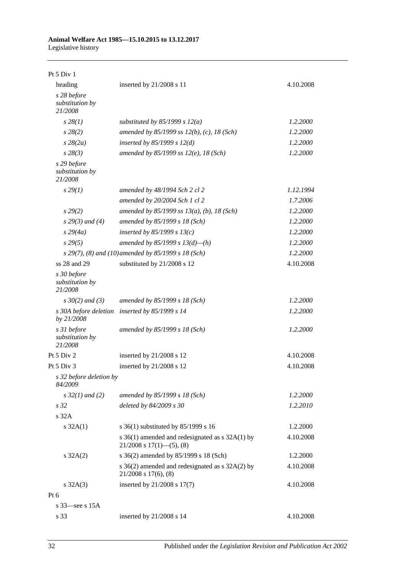#### **Animal Welfare Act 1985—15.10.2015 to 13.12.2017** Legislative history

| Pt $5$ Div $1$                            |                                                                                      |           |
|-------------------------------------------|--------------------------------------------------------------------------------------|-----------|
| heading                                   | inserted by 21/2008 s 11                                                             | 4.10.2008 |
| s 28 before<br>substitution by<br>21/2008 |                                                                                      |           |
| $s\,28(1)$                                | substituted by $85/1999$ s $12(a)$                                                   | 1.2.2000  |
| $s\,28(2)$                                | amended by 85/1999 ss $12(b)$ , (c), 18 (Sch)                                        | 1.2.2000  |
| $s\,28(2a)$                               | inserted by $85/1999 s 12(d)$                                                        | 1.2.2000  |
| $s\,28(3)$                                | amended by 85/1999 ss $12(e)$ , 18 (Sch)                                             | 1.2.2000  |
| s 29 before<br>substitution by<br>21/2008 |                                                                                      |           |
| $s\,29(1)$                                | amended by 48/1994 Sch 2 cl 2                                                        | 1.12.1994 |
|                                           | amended by 20/2004 Sch 1 cl 2                                                        | 1.7.2006  |
| s 29(2)                                   | amended by 85/1999 ss $13(a)$ , (b), 18 (Sch)                                        | 1.2.2000  |
| $s\,29(3)$ and (4)                        | amended by 85/1999 s 18 (Sch)                                                        | 1.2.2000  |
| $s\,29(4a)$                               | inserted by $85/1999 s 13(c)$                                                        | 1.2.2000  |
| $s\,29(5)$                                | amended by 85/1999 s $13(d)$ —(h)                                                    | 1.2.2000  |
|                                           | s 29(7), (8) and (10) amended by 85/1999 s 18 (Sch)                                  | 1.2.2000  |
| ss 28 and 29                              | substituted by 21/2008 s 12                                                          | 4.10.2008 |
| s 30 before<br>substitution by<br>21/2008 |                                                                                      |           |
| $s \, 30(2)$ and (3)                      | amended by 85/1999 s 18 (Sch)                                                        | 1.2.2000  |
| s 30A before deletion<br>by 21/2008       | inserted by 85/1999 s 14                                                             | 1.2.2000  |
| s 31 before<br>substitution by<br>21/2008 | amended by 85/1999 s 18 (Sch)                                                        | 1.2.2000  |
| Pt 5 Div 2                                | inserted by 21/2008 s 12                                                             | 4.10.2008 |
| Pt 5 Div 3                                | inserted by 21/2008 s 12                                                             | 4.10.2008 |
| s 32 before deletion by<br>84/2009        |                                                                                      |           |
| $s \, 32(1)$ and (2)                      | amended by 85/1999 s 18 (Sch)                                                        | 1.2.2000  |
| s <sub>32</sub>                           | deleted by 84/2009 s 30                                                              | 1.2.2010  |
| s 32A                                     |                                                                                      |           |
| $s \, 32A(1)$                             | s 36(1) substituted by 85/1999 s 16                                                  | 1.2.2000  |
|                                           | s $36(1)$ amended and redesignated as s $32A(1)$ by<br>$21/2008$ s $17(1)$ —(5), (8) | 4.10.2008 |
| $s \, 32A(2)$                             | s 36(2) amended by 85/1999 s 18 (Sch)                                                | 1.2.2000  |
|                                           | s $36(2)$ amended and redesignated as s $32A(2)$ by<br>$21/2008$ s $17(6)$ , $(8)$   | 4.10.2008 |
| $s \, 32A(3)$                             | inserted by 21/2008 s 17(7)                                                          | 4.10.2008 |
| Pt 6                                      |                                                                                      |           |
| s $33$ —see s $15A$                       |                                                                                      |           |
| s 33                                      | inserted by 21/2008 s 14                                                             | 4.10.2008 |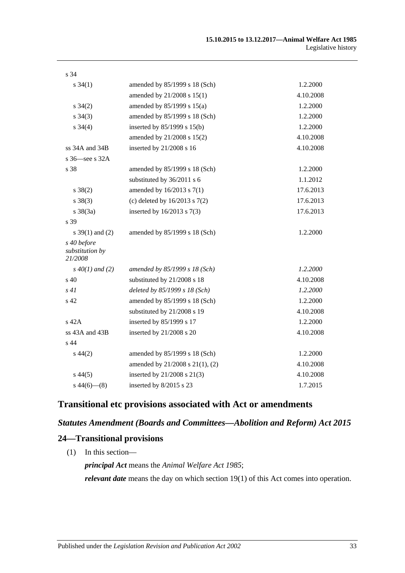| s 34                                      |                                   |           |
|-------------------------------------------|-----------------------------------|-----------|
| $s \, 34(1)$                              | amended by 85/1999 s 18 (Sch)     | 1.2.2000  |
|                                           | amended by 21/2008 s 15(1)        | 4.10.2008 |
| $s \, 34(2)$                              | amended by $85/1999$ s $15(a)$    | 1.2.2000  |
| $s \; 34(3)$                              | amended by 85/1999 s 18 (Sch)     | 1.2.2000  |
| $s \; 34(4)$                              | inserted by $85/1999$ s $15(b)$   | 1.2.2000  |
|                                           | amended by 21/2008 s 15(2)        | 4.10.2008 |
| ss 34A and 34B                            | inserted by 21/2008 s 16          | 4.10.2008 |
| s 36—see s 32A                            |                                   |           |
| s 38                                      | amended by 85/1999 s 18 (Sch)     | 1.2.2000  |
|                                           | substituted by 36/2011 s 6        | 1.1.2012  |
| $s \ 38(2)$                               | amended by $16/2013$ s $7(1)$     | 17.6.2013 |
| $s \ 38(3)$                               | (c) deleted by $16/2013$ s $7(2)$ | 17.6.2013 |
| $s \frac{38(3a)}{2}$                      | inserted by 16/2013 s 7(3)        | 17.6.2013 |
| s 39                                      |                                   |           |
| s $39(1)$ and (2)                         | amended by 85/1999 s 18 (Sch)     | 1.2.2000  |
| s 40 before<br>substitution by<br>21/2008 |                                   |           |
| $s\,40(1)$ and (2)                        | amended by 85/1999 s 18 (Sch)     | 1.2.2000  |
| $\sin 40$                                 | substituted by 21/2008 s 18       | 4.10.2008 |
| s41                                       | deleted by 85/1999 s 18 (Sch)     | 1.2.2000  |
| s 42                                      | amended by 85/1999 s 18 (Sch)     | 1.2.2000  |
|                                           | substituted by 21/2008 s 19       | 4.10.2008 |
| s 42A                                     | inserted by 85/1999 s 17          | 1.2.2000  |
| ss 43A and 43B                            | inserted by 21/2008 s 20          | 4.10.2008 |
| s 44                                      |                                   |           |
| $s\,44(2)$                                | amended by 85/1999 s 18 (Sch)     | 1.2.2000  |
|                                           | amended by 21/2008 s 21(1), (2)   | 4.10.2008 |
| $s\,44(5)$                                | inserted by 21/2008 s 21(3)       | 4.10.2008 |
| $s\,44(6)$ — $(8)$                        | inserted by 8/2015 s 23           | 1.7.2015  |

## **Transitional etc provisions associated with Act or amendments**

## *Statutes Amendment (Boards and Committees—Abolition and Reform) Act 2015*

## **24—Transitional provisions**

(1) In this section—

*principal Act* means the *[Animal Welfare Act](http://www.legislation.sa.gov.au/index.aspx?action=legref&type=act&legtitle=Animal%20Welfare%20Act%201985) 1985*; *relevant date* means the day on which section 19(1) of this Act comes into operation.